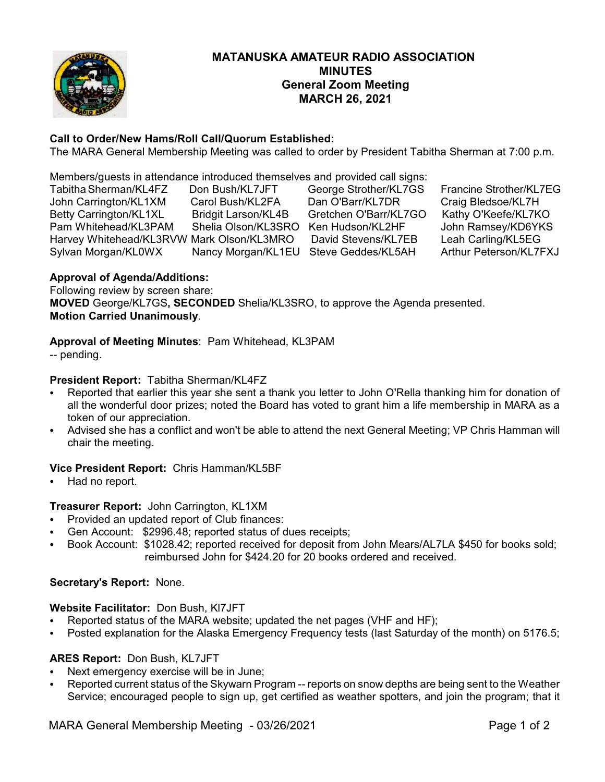

# **MATANUSKA AMATEUR RADIO ASSOCIATION MINUTES General Zoom Meeting MARCH 26, 2021**

# **Call to Order/New Hams/Roll Call/Quorum Established:**

The MARA General Membership Meeting was called to order by President Tabitha Sherman at 7:00 p.m.

Members/guests in attendance introduced themselves and provided call signs:

| Tabitha Sherman/KL4FZ                     | Don Bush/KL7JFT                       | George Strother/KL7GS | Francine Strother/KL7EG |
|-------------------------------------------|---------------------------------------|-----------------------|-------------------------|
| John Carrington/KL1XM                     | Carol Bush/KL2FA                      | Dan O'Barr/KL7DR      | Craig Bledsoe/KL7H      |
| Betty Carrington/KL1XL                    | <b>Bridgit Larson/KL4B</b>            | Gretchen O'Barr/KL7GO | Kathy O'Keefe/KL7KO     |
| Pam Whitehead/KL3PAM                      | Shelia Olson/KL3SRO                   | Ken Hudson/KL2HF      | John Ramsey/KD6YKS      |
| Harvey Whitehead/KL3RVW Mark Olson/KL3MRO |                                       | David Stevens/KL7EB   | Leah Carling/KL5EG      |
| Sylvan Morgan/KL0WX                       | Nancy Morgan/KL1EU Steve Geddes/KL5AH |                       | Arthur Peterson/KL7FXJ  |

### **Approval of Agenda/Additions:**

Following review by screen share: **MOVED** George/KL7GS**, SECONDED** Shelia/KL3SRO, to approve the Agenda presented. **Motion Carried Unanimously**.

### **Approval of Meeting Minutes**: Pam Whitehead, KL3PAM

-- pending.

## **President Report:** Tabitha Sherman/KL4FZ

- Reported that earlier this year she sent a thank you letter to John O'Rella thanking him for donation of all the wonderful door prizes; noted the Board has voted to grant him a life membership in MARA as a token of our appreciation.
- Advised she has a conflict and won't be able to attend the next General Meeting; VP Chris Hamman will chair the meeting.

#### **Vice President Report:** Chris Hamman/KL5BF

Had no report.

# **Treasurer Report:** John Carrington, KL1XM

- Provided an updated report of Club finances:
- Gen Account: \$2996.48; reported status of dues receipts;
- Book Account: \$1028.42; reported received for deposit from John Mears/AL7LA \$450 for books sold; reimbursed John for \$424.20 for 20 books ordered and received.

#### **Secretary's Report:** None.

#### **Website Facilitator:** Don Bush, Kl7JFT

- Reported status of the MARA website; updated the net pages (VHF and HF);
- Posted explanation for the Alaska Emergency Frequency tests (last Saturday of the month) on 5176.5;

#### **ARES Report:** Don Bush, KL7JFT

- Next emergency exercise will be in June;
- Reported current status of the Skywarn Program -- reports on snow depths are being sent to the Weather Service; encouraged people to sign up, get certified as weather spotters, and join the program; that it